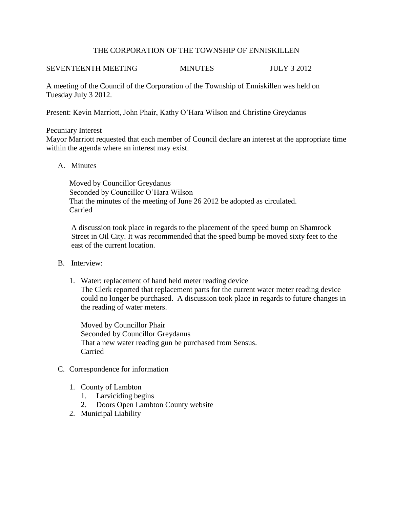## THE CORPORATION OF THE TOWNSHIP OF ENNISKILLEN

# SEVENTEENTH MEETING MINUTES JULY 3 2012

A meeting of the Council of the Corporation of the Township of Enniskillen was held on Tuesday July 3 2012.

Present: Kevin Marriott, John Phair, Kathy O'Hara Wilson and Christine Greydanus

## Pecuniary Interest

Mayor Marriott requested that each member of Council declare an interest at the appropriate time within the agenda where an interest may exist.

## A. Minutes

Moved by Councillor Greydanus Seconded by Councillor O'Hara Wilson That the minutes of the meeting of June 26 2012 be adopted as circulated. Carried

 A discussion took place in regards to the placement of the speed bump on Shamrock Street in Oil City. It was recommended that the speed bump be moved sixty feet to the east of the current location.

- B. Interview:
	- 1. Water: replacement of hand held meter reading device The Clerk reported that replacement parts for the current water meter reading device could no longer be purchased. A discussion took place in regards to future changes in the reading of water meters.

Moved by Councillor Phair Seconded by Councillor Greydanus That a new water reading gun be purchased from Sensus. Carried

- C. Correspondence for information
	- 1. County of Lambton
		- 1. Larviciding begins
		- 2. Doors Open Lambton County website
	- 2. Municipal Liability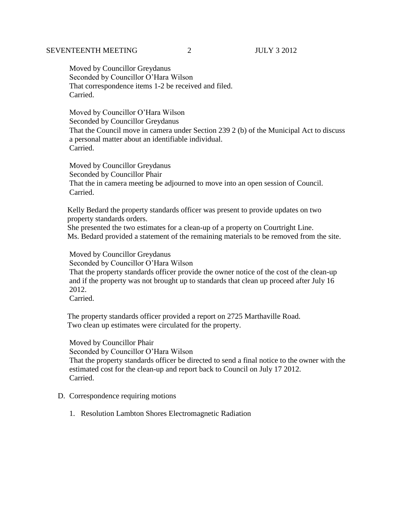## SEVENTEENTH MEETING 2 JULY 3 2012

 Moved by Councillor Greydanus Seconded by Councillor O'Hara Wilson That correspondence items 1-2 be received and filed. Carried.

 Moved by Councillor O'Hara Wilson Seconded by Councillor Greydanus That the Council move in camera under Section 239 2 (b) of the Municipal Act to discuss a personal matter about an identifiable individual. Carried.

 Moved by Councillor Greydanus Seconded by Councillor Phair That the in camera meeting be adjourned to move into an open session of Council. Carried.

 Kelly Bedard the property standards officer was present to provide updates on two property standards orders.

 She presented the two estimates for a clean-up of a property on Courtright Line. Ms. Bedard provided a statement of the remaining materials to be removed from the site.

 Moved by Councillor Greydanus Seconded by Councillor O'Hara Wilson That the property standards officer provide the owner notice of the cost of the clean-up and if the property was not brought up to standards that clean up proceed after July 16

2012.

Carried.

 The property standards officer provided a report on 2725 Marthaville Road. Two clean up estimates were circulated for the property.

 Moved by Councillor Phair Seconded by Councillor O'Hara Wilson That the property standards officer be directed to send a final notice to the owner with the estimated cost for the clean-up and report back to Council on July 17 2012. Carried.

#### D. Correspondence requiring motions

1. Resolution Lambton Shores Electromagnetic Radiation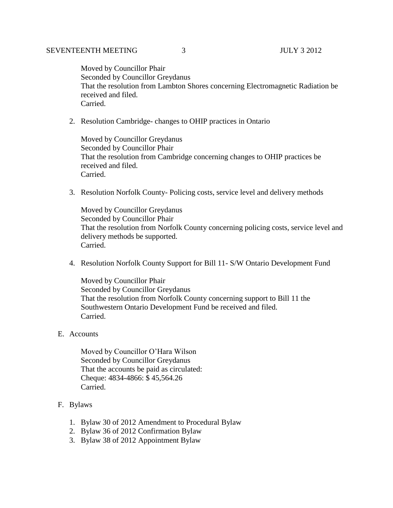Moved by Councillor Phair Seconded by Councillor Greydanus That the resolution from Lambton Shores concerning Electromagnetic Radiation be received and filed. Carried.

2. Resolution Cambridge- changes to OHIP practices in Ontario

Moved by Councillor Greydanus Seconded by Councillor Phair That the resolution from Cambridge concerning changes to OHIP practices be received and filed. Carried.

3. Resolution Norfolk County- Policing costs, service level and delivery methods

Moved by Councillor Greydanus Seconded by Councillor Phair That the resolution from Norfolk County concerning policing costs, service level and delivery methods be supported. Carried.

4. Resolution Norfolk County Support for Bill 11- S/W Ontario Development Fund

Moved by Councillor Phair Seconded by Councillor Greydanus That the resolution from Norfolk County concerning support to Bill 11 the Southwestern Ontario Development Fund be received and filed. Carried.

#### E. Accounts

 Moved by Councillor O'Hara Wilson Seconded by Councillor Greydanus That the accounts be paid as circulated: Cheque: 4834-4866: \$ 45,564.26 Carried.

- F. Bylaws
	- 1. Bylaw 30 of 2012 Amendment to Procedural Bylaw
	- 2. Bylaw 36 of 2012 Confirmation Bylaw
	- 3. Bylaw 38 of 2012 Appointment Bylaw